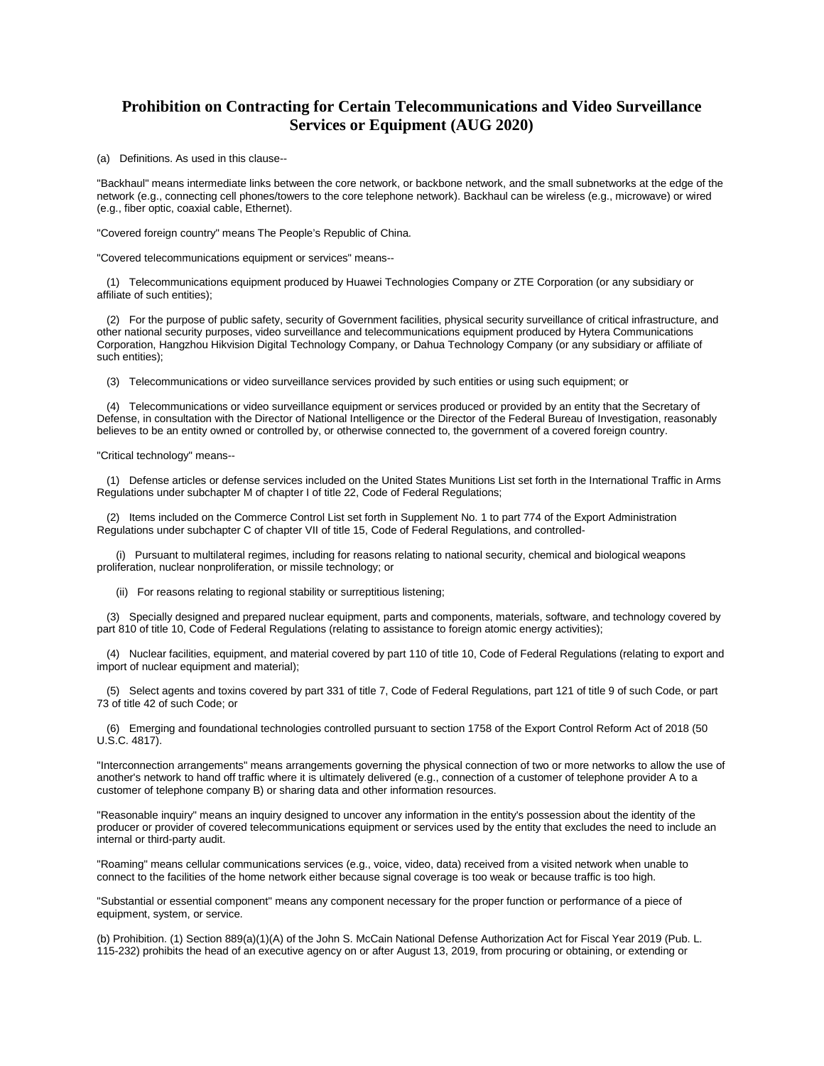## **Prohibition on Contracting for Certain Telecommunications and Video Surveillance Services or Equipment (AUG 2020)**

(a) Definitions. As used in this clause--

"Backhaul" means intermediate links between the core network, or backbone network, and the small subnetworks at the edge of the network (e.g., connecting cell phones/towers to the core telephone network). Backhaul can be wireless (e.g., microwave) or wired (e.g., fiber optic, coaxial cable, Ethernet).

"Covered foreign country" means The People's Republic of China.

"Covered telecommunications equipment or services" means--

 (1) Telecommunications equipment produced by Huawei Technologies Company or ZTE Corporation (or any subsidiary or affiliate of such entities);

 (2) For the purpose of public safety, security of Government facilities, physical security surveillance of critical infrastructure, and other national security purposes, video surveillance and telecommunications equipment produced by Hytera Communications Corporation, Hangzhou Hikvision Digital Technology Company, or Dahua Technology Company (or any subsidiary or affiliate of such entities);

(3) Telecommunications or video surveillance services provided by such entities or using such equipment; or

 (4) Telecommunications or video surveillance equipment or services produced or provided by an entity that the Secretary of Defense, in consultation with the Director of National Intelligence or the Director of the Federal Bureau of Investigation, reasonably believes to be an entity owned or controlled by, or otherwise connected to, the government of a covered foreign country.

"Critical technology" means--

 (1) Defense articles or defense services included on the United States Munitions List set forth in the International Traffic in Arms Regulations under subchapter M of chapter I of title 22, Code of Federal Regulations;

 (2) Items included on the Commerce Control List set forth in Supplement No. 1 to part 774 of the Export Administration Regulations under subchapter C of chapter VII of title 15, Code of Federal Regulations, and controlled-

 (i) Pursuant to multilateral regimes, including for reasons relating to national security, chemical and biological weapons proliferation, nuclear nonproliferation, or missile technology; or

(ii) For reasons relating to regional stability or surreptitious listening;

 (3) Specially designed and prepared nuclear equipment, parts and components, materials, software, and technology covered by part 810 of title 10, Code of Federal Regulations (relating to assistance to foreign atomic energy activities);

 (4) Nuclear facilities, equipment, and material covered by part 110 of title 10, Code of Federal Regulations (relating to export and import of nuclear equipment and material);

 (5) Select agents and toxins covered by part 331 of title 7, Code of Federal Regulations, part 121 of title 9 of such Code, or part 73 of title 42 of such Code; or

 (6) Emerging and foundational technologies controlled pursuant to section 1758 of the Export Control Reform Act of 2018 (50 U.S.C. 4817).

"Interconnection arrangements" means arrangements governing the physical connection of two or more networks to allow the use of another's network to hand off traffic where it is ultimately delivered (e.g., connection of a customer of telephone provider A to a customer of telephone company B) or sharing data and other information resources.

"Reasonable inquiry" means an inquiry designed to uncover any information in the entity's possession about the identity of the producer or provider of covered telecommunications equipment or services used by the entity that excludes the need to include an internal or third-party audit.

"Roaming" means cellular communications services (e.g., voice, video, data) received from a visited network when unable to connect to the facilities of the home network either because signal coverage is too weak or because traffic is too high.

"Substantial or essential component" means any component necessary for the proper function or performance of a piece of equipment, system, or service.

(b) Prohibition. (1) Section 889(a)(1)(A) of the John S. McCain National Defense Authorization Act for Fiscal Year 2019 (Pub. L. 115-232) prohibits the head of an executive agency on or after August 13, 2019, from procuring or obtaining, or extending or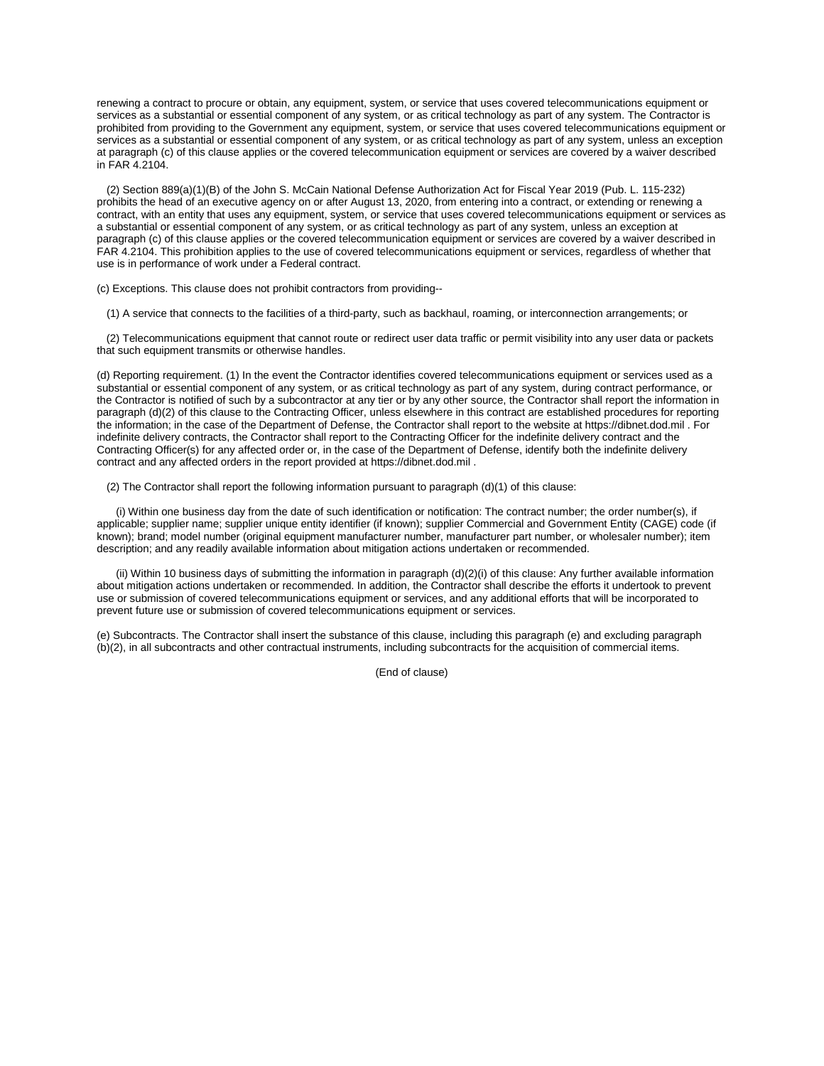renewing a contract to procure or obtain, any equipment, system, or service that uses covered telecommunications equipment or services as a substantial or essential component of any system, or as critical technology as part of any system. The Contractor is prohibited from providing to the Government any equipment, system, or service that uses covered telecommunications equipment or services as a substantial or essential component of any system, or as critical technology as part of any system, unless an exception at paragraph (c) of this clause applies or the covered telecommunication equipment or services are covered by a waiver described in FAR 4.2104.

 (2) Section 889(a)(1)(B) of the John S. McCain National Defense Authorization Act for Fiscal Year 2019 (Pub. L. 115-232) prohibits the head of an executive agency on or after August 13, 2020, from entering into a contract, or extending or renewing a contract, with an entity that uses any equipment, system, or service that uses covered telecommunications equipment or services as a substantial or essential component of any system, or as critical technology as part of any system, unless an exception at paragraph (c) of this clause applies or the covered telecommunication equipment or services are covered by a waiver described in FAR 4.2104. This prohibition applies to the use of covered telecommunications equipment or services, regardless of whether that use is in performance of work under a Federal contract.

(c) Exceptions. This clause does not prohibit contractors from providing--

(1) A service that connects to the facilities of a third-party, such as backhaul, roaming, or interconnection arrangements; or

 (2) Telecommunications equipment that cannot route or redirect user data traffic or permit visibility into any user data or packets that such equipment transmits or otherwise handles.

(d) Reporting requirement. (1) In the event the Contractor identifies covered telecommunications equipment or services used as a substantial or essential component of any system, or as critical technology as part of any system, during contract performance, or the Contractor is notified of such by a subcontractor at any tier or by any other source, the Contractor shall report the information in paragraph (d)(2) of this clause to the Contracting Officer, unless elsewhere in this contract are established procedures for reporting the information; in the case of the Department of Defense, the Contractor shall report to the website at [https://dibnet.dod.mil](https://dibnet.dod.mil/) . For indefinite delivery contracts, the Contractor shall report to the Contracting Officer for the indefinite delivery contract and the Contracting Officer(s) for any affected order or, in the case of the Department of Defense, identify both the indefinite delivery contract and any affected orders in the report provided a[t https://dibnet.dod.mil](https://dibnet.dod.mil/) .

(2) The Contractor shall report the following information pursuant to paragraph (d)(1) of this clause:

 (i) Within one business day from the date of such identification or notification: The contract number; the order number(s), if applicable; supplier name; supplier unique entity identifier (if known); supplier Commercial and Government Entity (CAGE) code (if known); brand; model number (original equipment manufacturer number, manufacturer part number, or wholesaler number); item description; and any readily available information about mitigation actions undertaken or recommended.

 (ii) Within 10 business days of submitting the information in paragraph (d)(2)(i) of this clause: Any further available information about mitigation actions undertaken or recommended. In addition, the Contractor shall describe the efforts it undertook to prevent use or submission of covered telecommunications equipment or services, and any additional efforts that will be incorporated to prevent future use or submission of covered telecommunications equipment or services.

(e) Subcontracts. The Contractor shall insert the substance of this clause, including this paragraph (e) and excluding paragraph (b)(2), in all subcontracts and other contractual instruments, including subcontracts for the acquisition of commercial items.

(End of clause)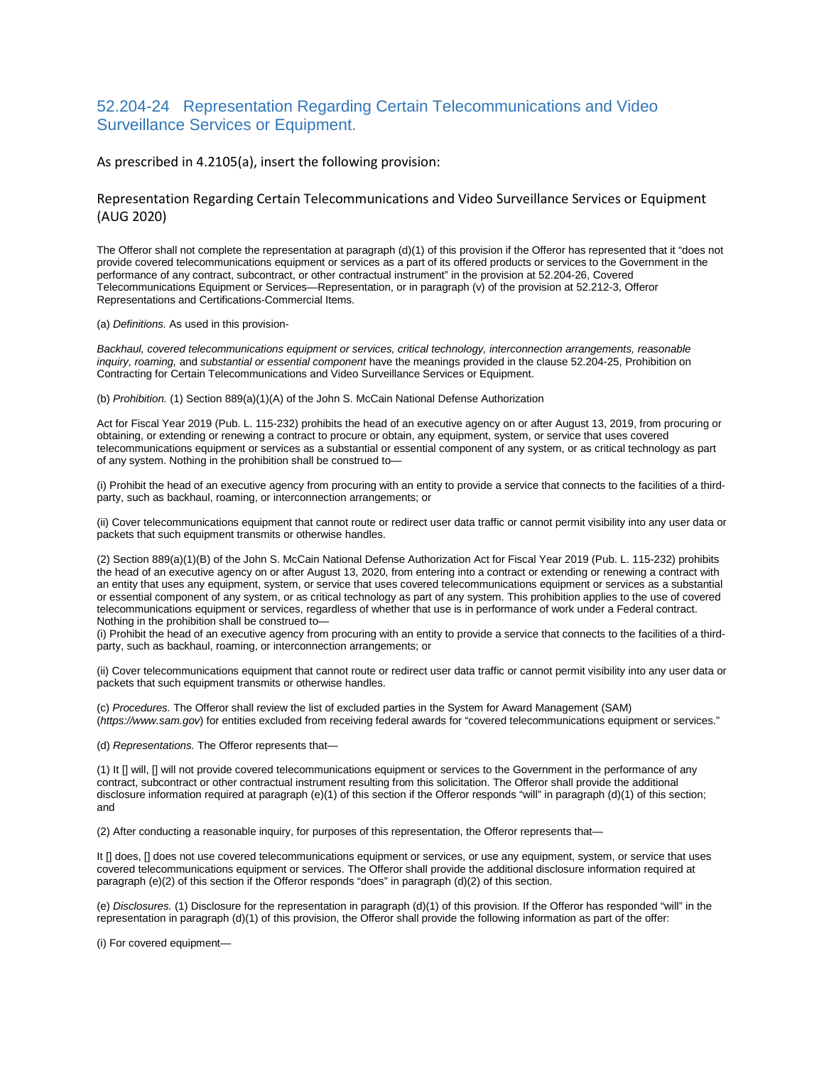# 52.204-24 Representation Regarding Certain Telecommunications and Video Surveillance Services or Equipment.

#### As prescribed in 4.2105(a), insert the following provision:

### Representation Regarding Certain Telecommunications and Video Surveillance Services or Equipment (AUG 2020)

The Offeror shall not complete the representation at paragraph (d)(1) of this provision if the Offeror has represented that it "does not provide covered telecommunications equipment or services as a part of its offered products or services to the Government in the performance of any contract, subcontract, or other contractual instrument" in the provision at 52.204-26, Covered Telecommunications Equipment or Services—Representation, or in paragraph (v) of the provision at 52.212-3, Offeror Representations and Certifications-Commercial Items.

#### (a) *Definitions.* As used in this provision-

*Backhaul, covered telecommunications equipment or services, critical technology, interconnection arrangements, reasonable inquiry, roaming,* and *substantial or essential component* have the meanings provided in the clause 52.204-25, Prohibition on Contracting for Certain Telecommunications and Video Surveillance Services or Equipment.

(b) *Prohibition.* (1) Section 889(a)(1)(A) of the John S. McCain National Defense Authorization

Act for Fiscal Year 2019 (Pub. L. 115-232) prohibits the head of an executive agency on or after August 13, 2019, from procuring or obtaining, or extending or renewing a contract to procure or obtain, any equipment, system, or service that uses covered telecommunications equipment or services as a substantial or essential component of any system, or as critical technology as part of any system. Nothing in the prohibition shall be construed to—

(i) Prohibit the head of an executive agency from procuring with an entity to provide a service that connects to the facilities of a thirdparty, such as backhaul, roaming, or interconnection arrangements; or

(ii) Cover telecommunications equipment that cannot route or redirect user data traffic or cannot permit visibility into any user data or packets that such equipment transmits or otherwise handles.

(2) Section 889(a)(1)(B) of the John S. McCain National Defense Authorization Act for Fiscal Year 2019 (Pub. L. 115-232) prohibits the head of an executive agency on or after August 13, 2020, from entering into a contract or extending or renewing a contract with an entity that uses any equipment, system, or service that uses covered telecommunications equipment or services as a substantial or essential component of any system, or as critical technology as part of any system. This prohibition applies to the use of covered telecommunications equipment or services, regardless of whether that use is in performance of work under a Federal contract. Nothing in the prohibition shall be construed to—

(i) Prohibit the head of an executive agency from procuring with an entity to provide a service that connects to the facilities of a thirdparty, such as backhaul, roaming, or interconnection arrangements; or

(ii) Cover telecommunications equipment that cannot route or redirect user data traffic or cannot permit visibility into any user data or packets that such equipment transmits or otherwise handles.

(c) *Procedures.* The Offeror shall review the list of excluded parties in the System for Award Management (SAM) (*https://www.sam.gov*) for entities excluded from receiving federal awards for "covered telecommunications equipment or services."

(d) *Representations.* The Offeror represents that—

(1) It [] will, [] will not provide covered telecommunications equipment or services to the Government in the performance of any contract, subcontract or other contractual instrument resulting from this solicitation. The Offeror shall provide the additional disclosure information required at paragraph (e)(1) of this section if the Offeror responds "will" in paragraph (d)(1) of this section; and

(2) After conducting a reasonable inquiry, for purposes of this representation, the Offeror represents that—

It [] does, [] does not use covered telecommunications equipment or services, or use any equipment, system, or service that uses covered telecommunications equipment or services. The Offeror shall provide the additional disclosure information required at paragraph (e)(2) of this section if the Offeror responds "does" in paragraph (d)(2) of this section.

(e) *Disclosures.* (1) Disclosure for the representation in paragraph (d)(1) of this provision. If the Offeror has responded "will" in the representation in paragraph (d)(1) of this provision, the Offeror shall provide the following information as part of the offer:

(i) For covered equipment—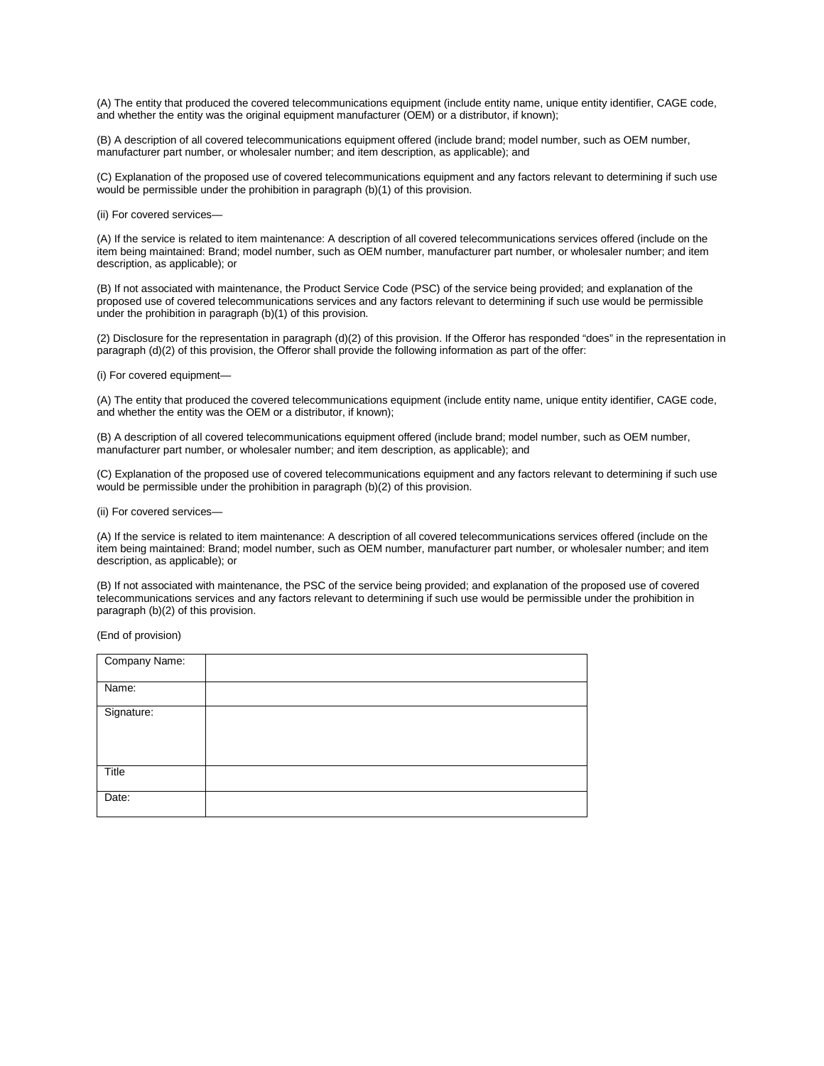(A) The entity that produced the covered telecommunications equipment (include entity name, unique entity identifier, CAGE code, and whether the entity was the original equipment manufacturer (OEM) or a distributor, if known);

(B) A description of all covered telecommunications equipment offered (include brand; model number, such as OEM number, manufacturer part number, or wholesaler number; and item description, as applicable); and

(C) Explanation of the proposed use of covered telecommunications equipment and any factors relevant to determining if such use would be permissible under the prohibition in paragraph (b)(1) of this provision.

(ii) For covered services—

(A) If the service is related to item maintenance: A description of all covered telecommunications services offered (include on the item being maintained: Brand; model number, such as OEM number, manufacturer part number, or wholesaler number; and item description, as applicable); or

(B) If not associated with maintenance, the Product Service Code (PSC) of the service being provided; and explanation of the proposed use of covered telecommunications services and any factors relevant to determining if such use would be permissible under the prohibition in paragraph (b)(1) of this provision.

(2) Disclosure for the representation in paragraph (d)(2) of this provision. If the Offeror has responded "does" in the representation in paragraph (d)(2) of this provision, the Offeror shall provide the following information as part of the offer:

(i) For covered equipment—

(A) The entity that produced the covered telecommunications equipment (include entity name, unique entity identifier, CAGE code, and whether the entity was the OEM or a distributor, if known);

(B) A description of all covered telecommunications equipment offered (include brand; model number, such as OEM number, manufacturer part number, or wholesaler number; and item description, as applicable); and

(C) Explanation of the proposed use of covered telecommunications equipment and any factors relevant to determining if such use would be permissible under the prohibition in paragraph (b)(2) of this provision.

(ii) For covered services—

(A) If the service is related to item maintenance: A description of all covered telecommunications services offered (include on the item being maintained: Brand; model number, such as OEM number, manufacturer part number, or wholesaler number; and item description, as applicable); or

(B) If not associated with maintenance, the PSC of the service being provided; and explanation of the proposed use of covered telecommunications services and any factors relevant to determining if such use would be permissible under the prohibition in paragraph (b)(2) of this provision.

(End of provision)

| Company Name: |  |
|---------------|--|
| Name:         |  |
| Signature:    |  |
| Title         |  |
| Date:         |  |